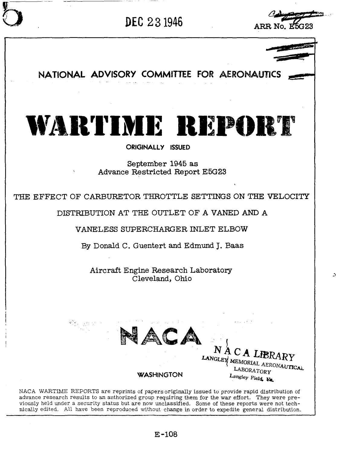

 $\Delta$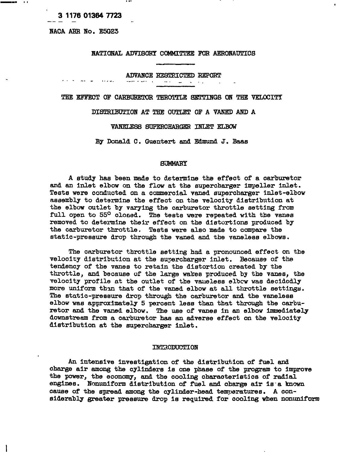### **3 117601364 7723**

NACA ARR No. E5G23

-111

#### NATIONAL ADVISORY COMMITTEE FOR AERONAUTICS

ADVANCE RESTRICTED REPORT

 $\sim$   $\sim$  $\rightarrow$ 

THE EFFECT OF CARBURETOR THROTTLE SETTINGS ON THE VELOCITY

DISTRIBUTION AT THE OUTLET OF A VANED AND A

VANELEBB SUPERCHARGER INLET ELBOW'

By Donald C. Guentert and Edmund J. Baas

#### SUMMARY

A study has been made to determine the effect of a carburetor and an inlet elbow on the flow at the supercharger impeller inlet. Tests were conducted on a commercial vaned supercharger inlet-elbow assembly to determine the effect on the velocity distribution at the elbow outlet by varying the carburetor throttle setting from full open to 55<sup>0</sup> olosed. The tests were repeated with the vanes removed to determine their effect on the distortions produced by the carburetor throttle. Tests were also made to compare the static-pressure drop through the vaned and the vaneless elbows.

The carburetor throttle setting had a pronounced effect on the velocity distribution at the supercharger inlet. Because of the tendency of the vanes to retain the distortion created by the throttle, and because of the large wakes produced by the vanes, the velocity profile at the outlet of the vaneless elbow was decidedly more uniform than that of the vaned elbow at all throttle settings. The static-pressure drop through the carburetor and the vaneless elbow was approximately 5 percent less than that through the carburetor and the vaned elbow. The use of vanes in an elbow immediately downstream from a carburetor has an adverse effect on the velocity distribution at the supercharger inlet.

#### INTRODUCTION

An intensive investigation of the distribution of fuel and charge air amons the cylinders is one phase of the program to improve the power, the economy, and the oooling charaoteriatjos of radial engines. Nonuniform distribution of fuel and charge air is a known cause of the spread among the cylinder-head temperatures. A considerably greater pressure drop is required for cooling when nonuniform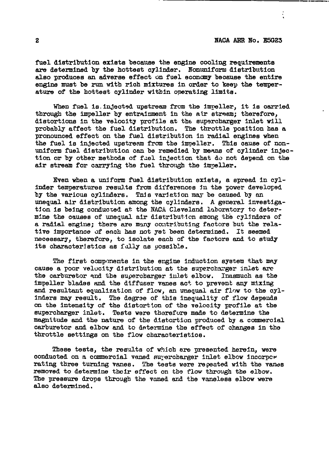.

fuel distribution exists because the engine cooling requirements are detezmlned by the hottest cylinder. Nonuniform distribution also produces an adverse effect on fuel economy because the entire engine must be run with rich mixtures in order to keep the temperature of the hottest cylinder within operating limits.

When fuel is injected upstream from the impeller, it is carried through the Impeller by entrainment In the atr stream; therefore, distortions in the velocity profile at the supercharger inlet will probably affect the fuel distribution. The throttle position has a pronounced effect on the fuel distribution in radial engines when the fuel is injected upstream from the impeller. This cause of nonuniform fuel distribution can be remedied by means of cylinder lnjection or by other methods of fuel injection that do not depend on the air stream for carrying the fuel through the impeller.

Even when a uniform fuel distribution exists, a spread in cylinder temperatures results from differences in the power developed by the various cylinders. This variation may be caused by an unequal air distribution among the cylinders. A general investigation is being conducted at the NACA Cleveland laboratory to determine the causes of unequal air distribution among the cylinders of a radial engine; there are many contributing factors but the relative importance of each has not yet been determined. It seemed neoesssry, therefore, to Isolate each of the faotors and to study its characteristics as fully as possible.

The first components in the engine induction system that may cause a poor velocity distribution at the supercharger inlet are the carburetor and the supercharger inlet elbow. Inasmuch as the Impeller blades md the diffuser vanes act to prevent any mixing and resultant equalization of flow, an unequal air flow to the oylinders may result. The degree of this inequality of flow depends on the intensity of the distortion of the velocity profile at the supercharger inlet. Tests were thorefure made to determine the magnitude and the nature of the distortion produced by a commercial carburetor and elbow and to determine the effect of changes in the throttle settings on the flow characteristics.

These tests, the results of which are presented herein, were conducted on a commercial vaned surercharger inlet elbow incorpcr rating three turning vanes. The tests were repeated with the vanes removed to determine their effect on the flow through the elbow. The pressure drops through the vaned and the vaneless elbow were also detemined,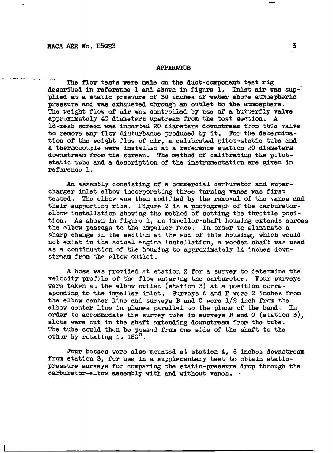#### **APPARATUS**

The flow tests were made on the duct-component test rig described in reference 1 and shown in figure 1. Inlet air was supplied at a static pressure of 30 inches of water above atmospheric pressure and was exhausted through an outlet to the atmosphere. The weight flow of air was controlled by use of a butterfly valve approximately 40 diameters upstream from the test section. A 16-mesh screen was inserted 20 diameters downstream from this valve to remove any flow disturbance produced by it. For the determination of the weight flow of air, a calibrated pitot-static tube and a thermocouple were installed at a reference station 20 diameters downstream from the screen. The method of calibrating the pitotstatic tube and a description of the instrumentation are given in reference 1.

An assembly consisting of a commercial carburetor and supercharger inlet elbow incorporating three turning vanes was first tested. The elbow was then modified by the removal of the vanes and their supporting ribs. Figure 2 is a photograph of the carburetorelbow installation showing the method of setting the throttle position. As shown in figure 1, an immeller-shaft housing extends across the albow passage to the impeller face. In order to eliminate a sharp change in the section at the end of this housing, which would nct exist in the actual engine installation, a wooden shaft was used as a continuation of the housing to approximately 14 inches downstream from the elbow outlet.

A hoss was provided at station 2 for a survey to determine the velocity profile of the flow entering the carburetor. Four surveys were taken at the elbow outlet (station 3) at a position corresponding to the impeller inlet. Surveys A and D were 2 inches from the elbow center line and surveys B and C were 1/2 inch from the elbow center line in planes parallel to the plane of the bend. In order to accommodate the survey tube in surveys R and C (station  $5$ ), slots were cut in the shaft extending downstream from the tube. The tube could then be passed from one side of the shaft to the other by retating it 180<sup>0</sup>.

Four bosses were also mounted at station 4, 6 inches downstream from station 3, for use in a supplementary test to obtain staticpressure surveys for comparing the static-pressure drop through the carburetor-elbow assembly with and without vanes.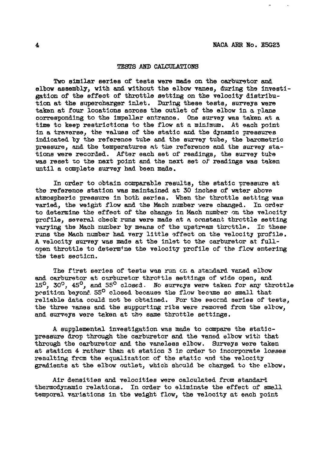#### TESTS AND CALCULATIONS

Two similar series of tests were made on the carburetor and elbow assembly, with and without the elbow vanes, during the investigation of the effeot of throttle setting on the veloclty distribution at the superonsrger Inlet. During these tests, surveys were taken at four locations across the outlet of the elbow In a plane corresponding to the Impeller entrance. One survey was taken at a time to keep restrictions to the flow at a minimum. At each point in a traverse, the values of the static and the dynamic pressures indicated by the reference tube and the survey tube, the barometric pressure, and the temperatures at the reference and the survey stations were recorded. After each set of readings, the survey ture was reset to the next point and the next set of readings was taken until a complete survey had been made.

In order to obtain comparable results, the static pressure at the reference station was maintained at 30 inches of water above atmospheric pressure in both serflss. When the throttle sething was varied, the weight flow and the Mach number were changed. In ordgr to detezmine the effect of the change In Mach numbe~ on the velocity profile, several check runs werg made at R constant thrcttle setting varying the Mach number by means of the upstream throttle. In these runs the Mach number had very little effect on the velocity profile. A velocity survey was made at the Inlet to the carburetor at fullopen throttle to determ+ne the velocity profile of the flow entering the test sectlcn.

The first series of tests was run on a standard vaned elbow and carburetor at carburetor throttle settings of wide open, and 15<sup>0</sup>, 30<sup>0</sup>, 45<sup>0</sup>, and 55<sup>0</sup> closed. No surveys were taken for any throttle position beyond 55° closed because the flow became so small that reliable data could not be obtained. For the eeccnd series of tests, the three vanes and the supporting ribs were removed from the elbow, and surveys were taken at the same throttle settings.

A supplemental investigation was made to compare the staticpressure drop through the carburetor and the vaned elbow with that through the carburetor and the vaneless elbow. Surveys were taken at station 4 rather than at station 3 in order to incorporate losses resulting from the equalization of the static and the velocity gradients at the elbow outlet, which should be charged to the elbow,

Air densities and velocities were calculated from standard thermodynamic relations. In order to eliminate the effect of small temporal variations in the weight flow, the velocity at each point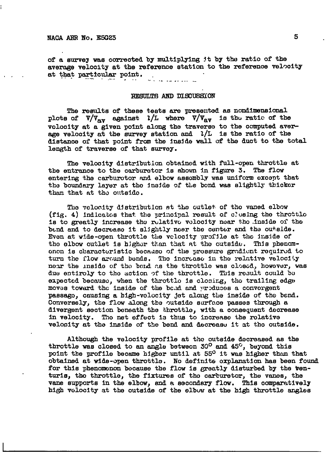of a survey was corrected by multiplying it by the ratio of the average velocity at the reference station to the reference velocity at that particular point.

#### RESULTS AND DISCUSSION

The results of these tests are presented as nondimensional plots of  $V/\mathbb{V}_{av}$  against  $1/L$  where  $V/\mathbb{V}_{av}$  is the ratic of the velocity at a given point along the traverse to the computed average velocity at the survey station and  $2/L$  is the ratio of the distance of that point from the inside wall of the duct to the total length of traverse of that survey.

The velocity distribution obtained with full-open throttle at the entrance to the carburetor is shown in figure 3. The flow entering the carburotor and elbow assombly was uniform except that the boundary layer at the inside of the bond was slightly thicker than that at the outside.

The velocity distribution at the outlet of the vaned elbow (fig. 4) indicates that the principal result of closing the throttle is to greatly increase the relative velocity near the inside of the bend and to decrease it slightly near the center and the outside. Even at wide-open throttle the velocity profile at the inside of the elbow outlet is higher than that at the outside. This phenomonon is characteristic because of the pressure gradient required to turn the flow around bends. The increase in the relative velocity near the inside of the bend as the throttle was closed, however, was due entiroly to the action of the throttle. This result could be expected because, when the throttle is closing, the trailing edge moves toward the inside of the band and wroduces a convergent passago, causing a high-volocity jet along the inside of the bend. Conversely, the flow along the outside surface passes through a divergent section beneath the throttle, with a consequent decrease in velocity. The net effect is thus to increase the rolative velocity at the inside of the bend and decrease it at the outside.

Although the velocity profile at the outside docreased as the throttle was closed to an angle between 30<sup>0</sup> and 45<sup>0</sup>, beyond this point the profile became higher until at 55<sup>0</sup> it was higher than that obtained at wide-open throttle. No definite oxplanation has been found for this phenomonon because the flow is greatly disturbed by the venturis, the throttle, the fixtures of the carburetor, the vanes, the vane supports in the elbow, and a secondary flow. This comparatively high velocity at the outside of the elbow at the high throttle angles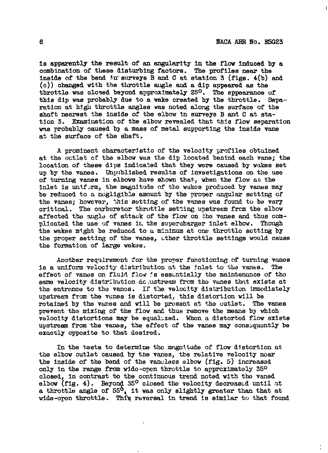la apparently the result of an angularity In the flow induced by **a** combination of these disturbing factors. The profiles near the inside of the bend  $\ln$  surveys B and C at station 3 (figs.  $4(b)$  and (c)) changed with the throttle angle and a dip appeared as the throttle was closed beyond approximately 25°. The appearance of this dip was probably due to a wake created by the throttle. Sepa-ration at high throttle angles was noted along the surface of the shaft nearest the inside of the elbow in surveys B and C at station 3. Examimt:on of the elbow revealed that this flow separation was probably caused by a mass of metal supporting the Ins!de vane at the surface of the shaft.

A prominent cheracterlstlc of the velocity yrofiles obtulned at the outlet of the elbow was tke dip located behind each vane; the location of these dips indicated that they wore caused by wnkes set up by the vanes. Unpublished results of investigations on the use of turning vanes in elbows have shown that.,when the flow nc the inlet is uniftrm, the magnitude of the wakes produced by vanes may be reduced to a negligible amount by the proper ungular setting of the vanes; however, this setting of the vanes was found to be very critical. The carburetor throttle setting upstream from the elbow affected the angle of attack of the flow on the vanes and thus complicated the use of vanes in the supercharger inlet elbow. Though the wakes might be reduced to a minimum at one throttle setting by the proper setting of the vanes, other throttle settings would cause the formation of large wakas.

Another requirement for the proper functioning of turning vanos is a uniform velocity distribution at the fnlet to the vanes. The effect of vanes on fluid flow 's essentially the maintenance of tho same velocity distribution do ustream from the vanes that exists at the entrance to the vanos. If the velocity distribution immodiately upstream from the vanes is distorted, this distortion will be rotained by the vanes and will be present at the outlet. The vanes prevent the mixing of the flow and thus remove the means by which velocity distortions may be equalized. When a distorted flow exists upstream from the vanes, the effect of the vanes may consuquontly be exaotly opposite to that desired.

In the tests to determine the magnitude of flow distortion at. the elbow outlet caused by the vanes, the relative velocity near the inside of the bend of the vancless elbow (fig. 5) increased only in the range from wide-open throttle to approximately  $35^{\circ}$ closed, in contrast to the continuous trend noted with tho vaned elbow (fig. 4). Beyond 35 $^{\rm o}$  closed the velocity decroascd until at a throttle angle of  $55^0$ , it was only slightly greater than that at wide-oren throttle. This reversal in trend is similar to that found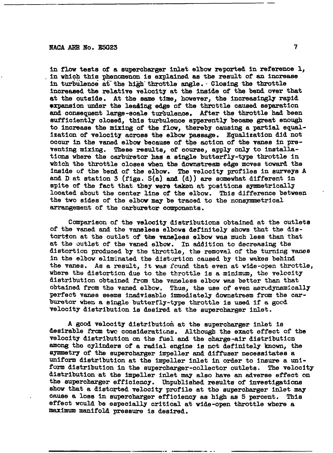### **NACA ARR NO. E5G23 7**

In flow tests of **a** supercharger inlet elbow reported in reference 1, .**in** which this phenomenon is explained ae the result of an Inorease in turbulence at the high throttle angle. - Closing the throttle inoreased the xwlative velooity at the inside of the bend over that at the outside. At the same time, however, the increasingly rapid expansion under the leading edge of the throttle caused separation and ooneequent large-scale turbulenos. After the throttle had been sufficiently closed, this turbulence apparently became great enough to increase the mixing of the flow, thereby causing a partial equalization of velocity across the elbow paasage. Equalization did not ocour in the waned elbow because of the action of the vanes in preventing mixing. These results, of course, apply only to installations where the carburetor has a single butterfly-type throttle in which the throttle closes when the downstream edge moves toward the inside of the bend of the elbow. The veloolty profiles in surveys A and D at station 3 (figs. 5(a) and (d)) are somewhat different in spite of the fact that they were taken at positions symmetrically located about the center line of the elbow. This difference between the two sides of the elbow may be traced to the nonsymmetrical arrangement of the carburetor components.

.— —

Comparison of the veloolty distributions obtained at the outlets of the vaned and the vaneless elbows definitely shows that the distortion at the outlet of the vaneless elbow was much less than that at the outlet of the vaned elbow. In addition to decreasing the distortion produced by the throttle, the removal of the turning vanes in the elbow eliminated the distortion caused by the wakes behind the vanee. As a result, jt wus fcwnd that even at wide-open throttle, where the distortion due to the throttle is a minimum, the velcoity distribution obtained from the vaneless elbow was better than that obtained from the vaned elbow. Thus, the use of even aerodynamically perfect vanes seems inadvisable immediately downstresm from the carburetor when a single butterfly-type throttle is used if a good velocity distribution is desired at the supercharger inlet.

A good velooity distribution at the supercharger Inlet Is desirable from two considerations. Although the exact effect of the velocity distribution on the fuel and the oharge-alr distribution among the cylinders of a radial engine is not definitely known, the symmetry of the supercharger impeller and diffuser necessitates a Uniform distribution at the impeller inlet in order to insure a uniform distribution in the supercharger-collector outlets. The velocity distribution at the impeller inlet may also have an adverse effect on the eupercharger efficiency. Unpublished results of investigations show that a distorted velocity profile at the supercharger inlet may cause a loss in supercharger effioiency as high as 5 percent. This effect would be especially critical at wide-open throttle where a maximum manifold pressure is desired.

..- .. .—— .. . .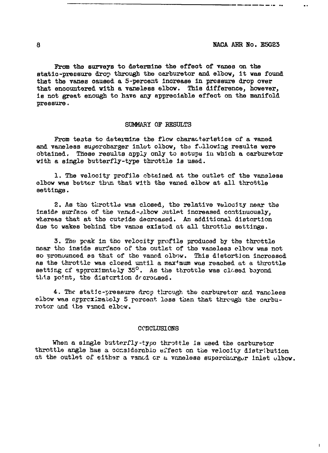From the surveys to determine the effect of vanes on the static-pressure drop through the carburetor and elbow, it was found that the vanes caused a 5-percent increase in pressure drop over that encountered with a vaneless elbow. This difference, however, is not great enough to have any appreciable effect on the manifold pressure.

#### SUMMARY OF RESULTS

From tests to determine the flow characteristics of a vaned and vaneless supercharger inlot olbow, the fullowing results were obtained. These results apply only to sotups in which a carburetor with a single butterfly-type throttle is used.

1. The velocity profile cbtained at the outlet of the vancless elbow was better than that with the vaned elbow at all throttle settings.

2. As the throttle was closed, the relative velocity near the inside surface of the vandd-elbow outlet increased continuously, whereas that at the cutride decroased. An additional distortion due to wakes behind the vanss existed at all throttle settings.

3. The peak in the velocity profile produced by the throttle near the inside surface of the outlet of the vaneless elbew was not so pronounced as that of the vanad olbow. This distortion increased as the throttle was closed until a max'mum was reached at a throttle setting of approximately 35<sup>0</sup>. As the throttle was closed beyond this point, the distertion decreased.

4. The static-pressure drop through the carburetor and vanoless elbow was approximately 5 percent less than that through the carburotor and the vaned elbew.

#### **CONCLUSIONS**

When a single butterfly-type throttle is used the carburetor throttle angle has a considerable effect on the velocity distribution at the outlet of either a vandd or a vaneless supercharger inlet elbow.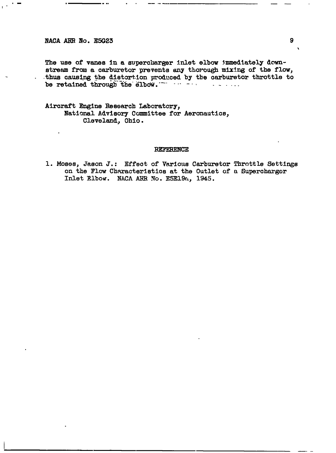The use of vanes in a supercharger inlet elbow immediately downstream from a carburetor prevents any thorough mixing of the flow, thus causing the distortion produced by the carburetor throttle to be retained through the elbow. **Service State** 

Aircraft Engine Research Laboratory, National Advisory Committee for Aeronautics, Cleveland, Ohio.

#### **REFERENCE**

1. Moses, Jason J.: Effect of Various Carburetor Throttle Settings on the Flow Characteristics at the Outlet of a Supercharger Inlet Elbow. NACA ARR No. E5E19a, 1945.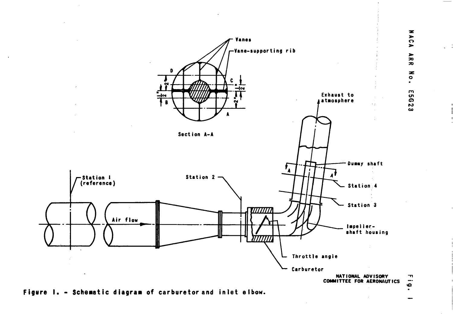

Figure 1. - Schematic diagram of carburetor and inlet eibow.

 $\cdot$ 

Ó ÷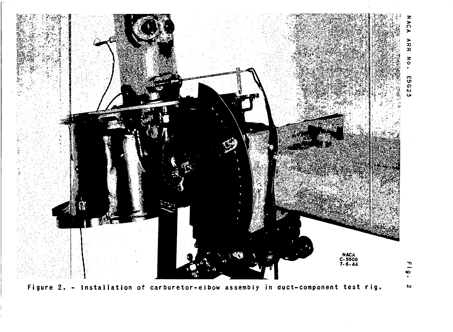

Figure 2. - Installation of carburetor-elbow assembly in duct-component test rig.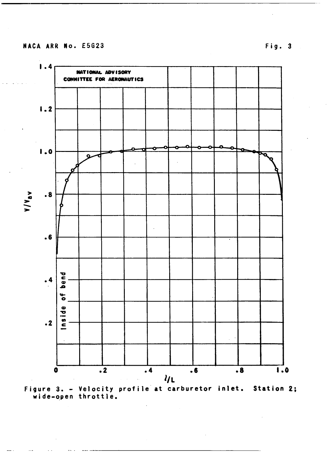



Fig. 3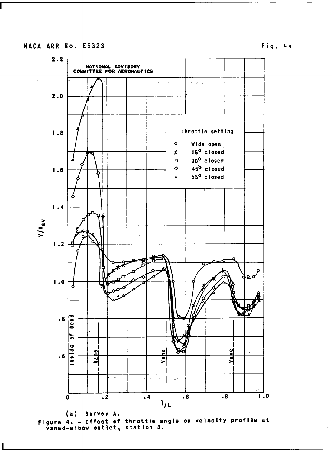```
Fig. 4a
```


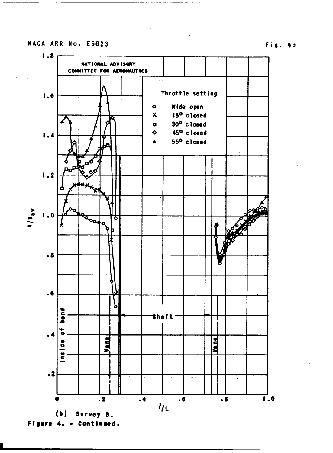# Fig. 4b



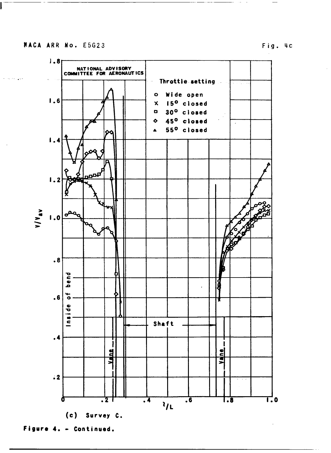I

 $\alpha$  , and  $\alpha$  , and  $\alpha$ 

Fig. 4c



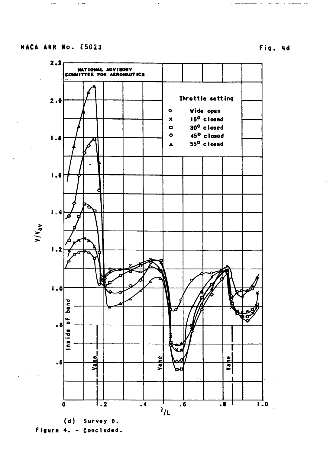$\overline{a}$ 

 $\sim$   $\sim$ 



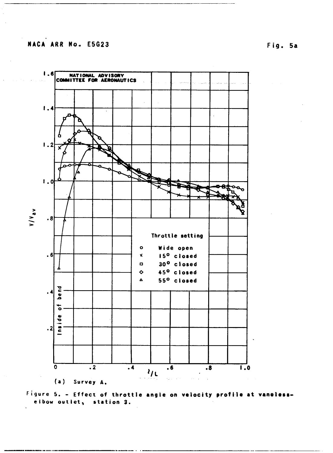

Figure 5. - Effect of throttle angle on velocity profile at vanelesselbow outlet, station 3.

Fig. 5a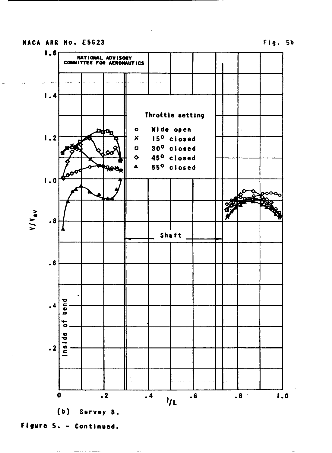# **MACA ARU fiO.** E5G23 **Fig. 5b**

.



**(b) Survey B.**

**Figure 5. - Continued.**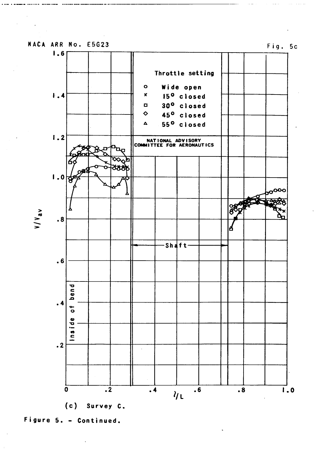



 $\bar{z}$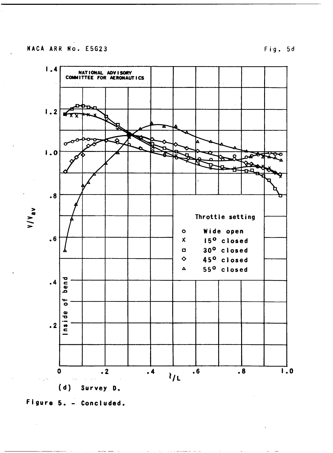